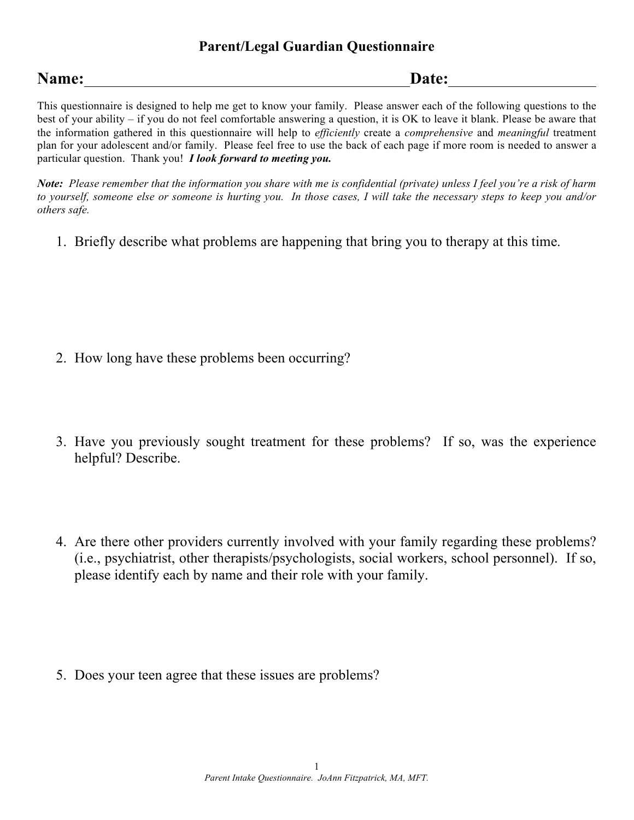# **Name: Date:**

This questionnaire is designed to help me get to know your family. Please answer each of the following questions to the best of your ability – if you do not feel comfortable answering a question, it is OK to leave it blank. Please be aware that the information gathered in this questionnaire will help to *efficiently* create a *comprehensive* and *meaningful* treatment plan for your adolescent and/or family. Please feel free to use the back of each page if more room is needed to answer a particular question. Thank you! *I look forward to meeting you.*

*Note: Please remember that the information you share with me is confidential (private) unless I feel you're a risk of harm to yourself, someone else or someone is hurting you. In those cases, I will take the necessary steps to keep you and/or others safe.* 

1. Briefly describe what problems are happening that bring you to therapy at this time.

- 2. How long have these problems been occurring?
- 3. Have you previously sought treatment for these problems? If so, was the experience helpful? Describe.
- 4. Are there other providers currently involved with your family regarding these problems? (i.e., psychiatrist, other therapists/psychologists, social workers, school personnel). If so, please identify each by name and their role with your family.

5. Does your teen agree that these issues are problems?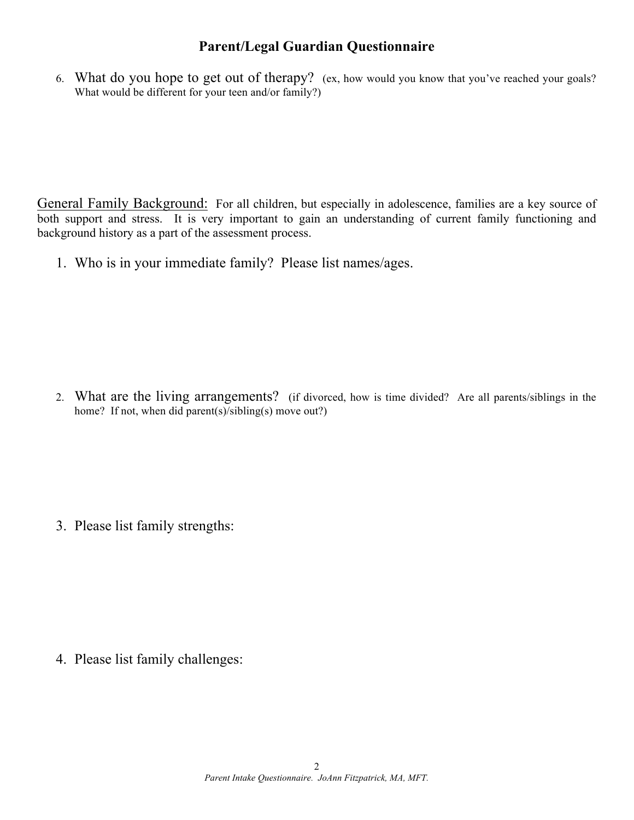6. What do you hope to get out of therapy? (ex, how would you know that you've reached your goals? What would be different for your teen and/or family?)

General Family Background: For all children, but especially in adolescence, families are a key source of both support and stress. It is very important to gain an understanding of current family functioning and background history as a part of the assessment process.

1. Who is in your immediate family? Please list names/ages.

2. What are the living arrangements? (if divorced, how is time divided? Are all parents/siblings in the home? If not, when did parent(s)/sibling(s) move out?)

3. Please list family strengths:

4. Please list family challenges: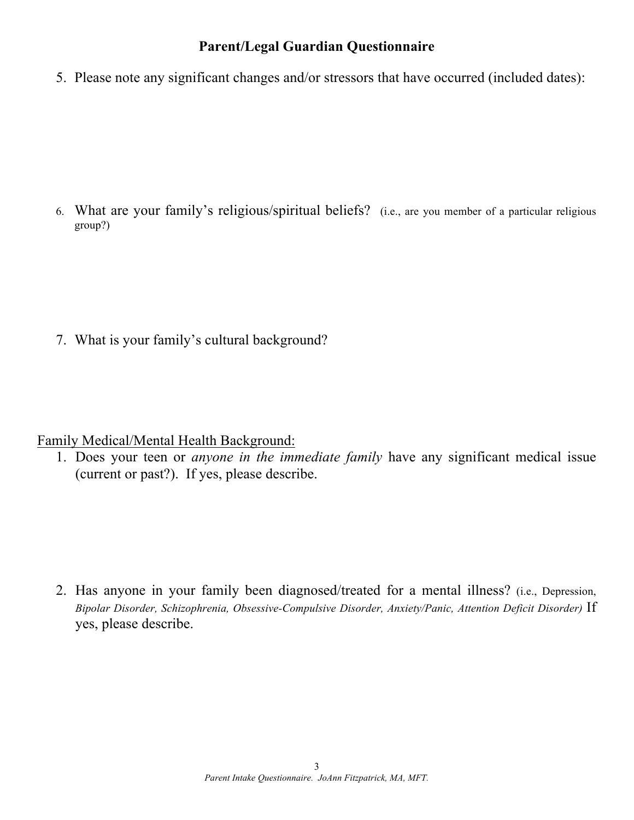5. Please note any significant changes and/or stressors that have occurred (included dates):

6. What are your family's religious/spiritual beliefs? (i.e., are you member of a particular religious group?)

7. What is your family's cultural background?

#### Family Medical/Mental Health Background:

1. Does your teen or *anyone in the immediate family* have any significant medical issue (current or past?). If yes, please describe.

2. Has anyone in your family been diagnosed/treated for a mental illness? (i.e., Depression, *Bipolar Disorder, Schizophrenia, Obsessive-Compulsive Disorder, Anxiety/Panic, Attention Deficit Disorder)* If yes, please describe.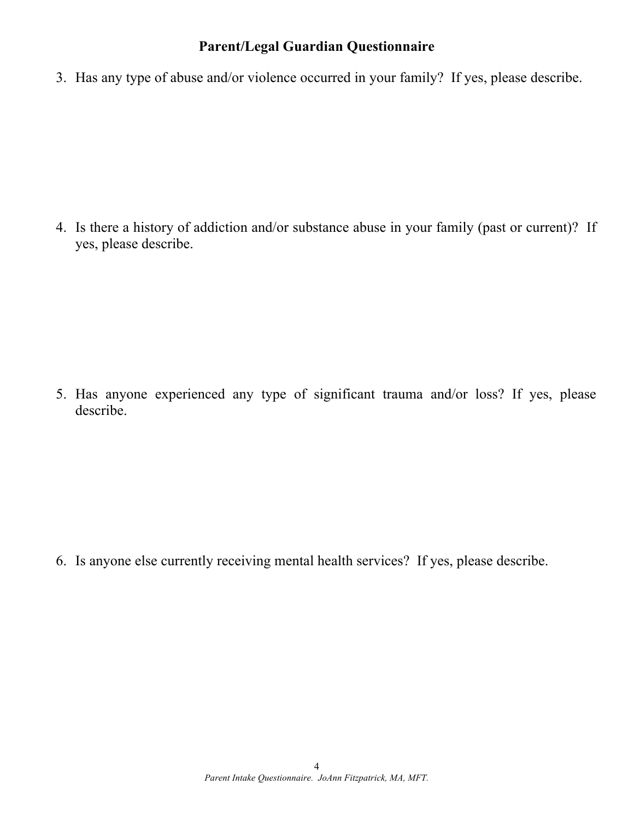3. Has any type of abuse and/or violence occurred in your family? If yes, please describe.

4. Is there a history of addiction and/or substance abuse in your family (past or current)? If yes, please describe.

5. Has anyone experienced any type of significant trauma and/or loss? If yes, please describe.

6. Is anyone else currently receiving mental health services? If yes, please describe.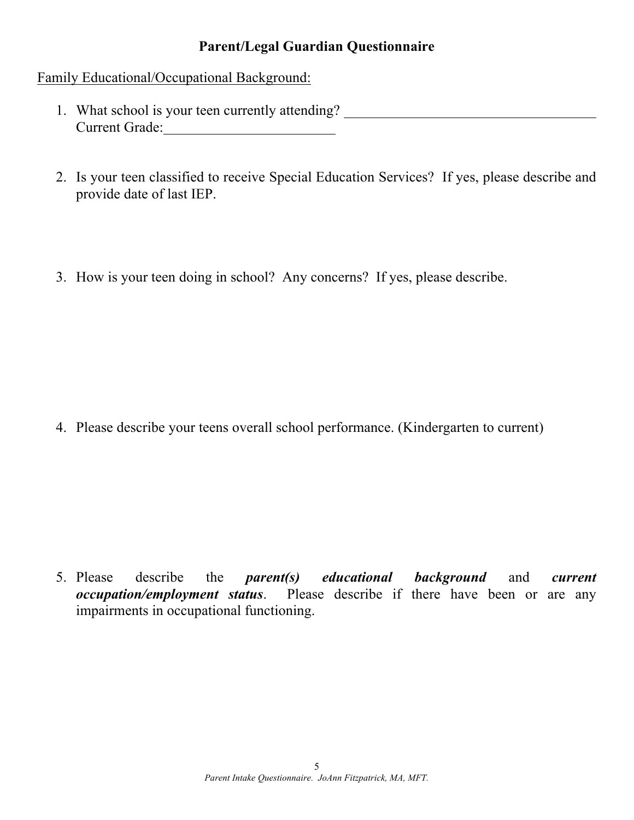Family Educational/Occupational Background:

- 1. What school is your teen currently attending? \_\_\_\_\_\_\_\_\_\_\_\_\_\_\_\_\_\_\_\_\_\_\_\_\_\_\_\_\_\_\_\_ Current Grade:
- 2. Is your teen classified to receive Special Education Services? If yes, please describe and provide date of last IEP.
- 3. How is your teen doing in school? Any concerns? If yes, please describe.

4. Please describe your teens overall school performance. (Kindergarten to current)

5. Please describe the *parent(s) educational background* and *current occupation/employment status*. Please describe if there have been or are any impairments in occupational functioning.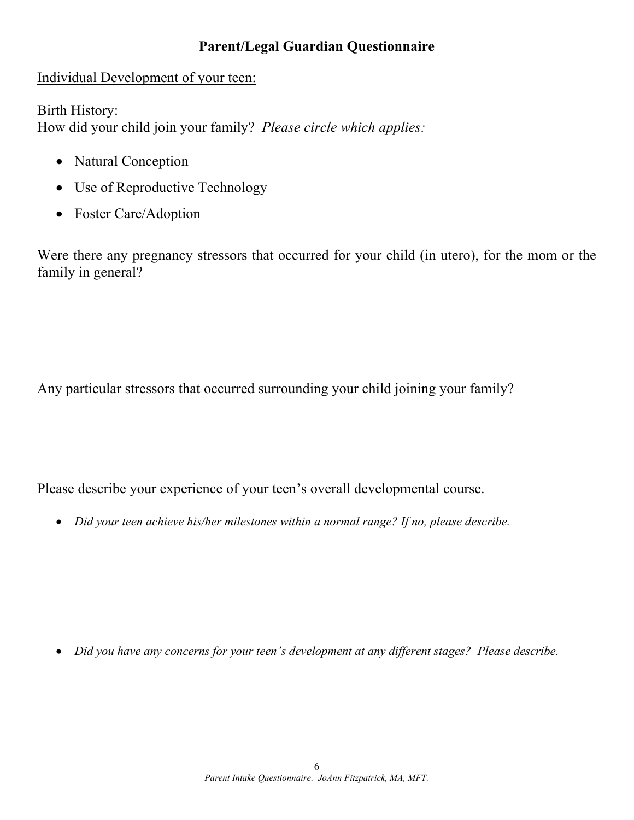Individual Development of your teen:

Birth History: How did your child join your family? *Please circle which applies:* 

- Natural Conception
- Use of Reproductive Technology
- Foster Care/Adoption

Were there any pregnancy stressors that occurred for your child (in utero), for the mom or the family in general?

Any particular stressors that occurred surrounding your child joining your family?

Please describe your experience of your teen's overall developmental course.

• *Did your teen achieve his/her milestones within a normal range? If no, please describe.*

• *Did you have any concerns for your teen's development at any different stages? Please describe.*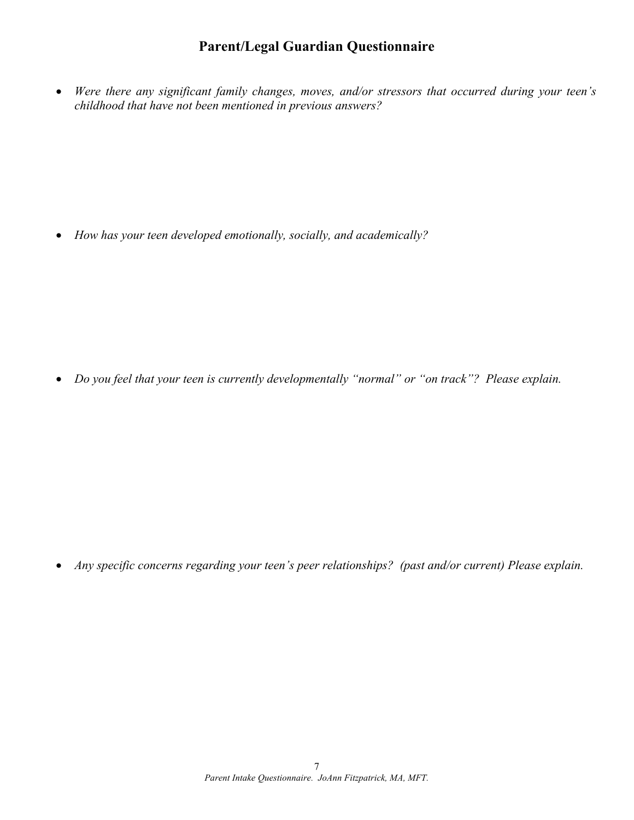• *Were there any significant family changes, moves, and/or stressors that occurred during your teen's childhood that have not been mentioned in previous answers?*

• *How has your teen developed emotionally, socially, and academically?* 

• *Do you feel that your teen is currently developmentally "normal" or "on track"? Please explain.*

• *Any specific concerns regarding your teen's peer relationships? (past and/or current) Please explain.*